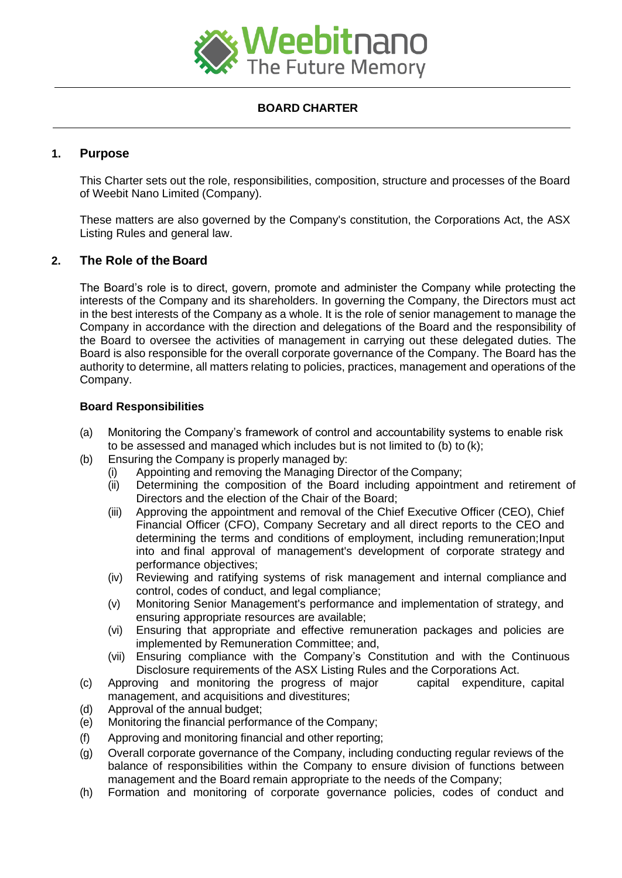

# **BOARD CHARTER**

# **1. Purpose**

This Charter sets out the role, responsibilities, composition, structure and processes of the Board of Weebit Nano Limited (Company).

These matters are also governed by the Company's constitution, the Corporations Act, the ASX Listing Rules and general law.

# **2. The Role of the Board**

The Board's role is to direct, govern, promote and administer the Company while protecting the interests of the Company and its shareholders. In governing the Company, the Directors must act in the best interests of the Company as a whole. It is the role of senior management to manage the Company in accordance with the direction and delegations of the Board and the responsibility of the Board to oversee the activities of management in carrying out these delegated duties. The Board is also responsible for the overall corporate governance of the Company. The Board has the authority to determine, all matters relating to policies, practices, management and operations of the Company.

### **Board Responsibilities**

- (a) Monitoring the Company's framework of control and accountability systems to enable risk to be assessed and managed which includes but is not limited to (b) to (k);
- (b) Ensuring the Company is properly managed by:
	- (i) Appointing and removing the Managing Director of the Company;
	- (ii) Determining the composition of the Board including appointment and retirement of Directors and the election of the Chair of the Board;
	- (iii) Approving the appointment and removal of the Chief Executive Officer (CEO), Chief Financial Officer (CFO), Company Secretary and all direct reports to the CEO and determining the terms and conditions of employment, including remuneration;Input into and final approval of management's development of corporate strategy and performance objectives;
	- (iv) Reviewing and ratifying systems of risk management and internal compliance and control, codes of conduct, and legal compliance;
	- (v) Monitoring Senior Management's performance and implementation of strategy, and ensuring appropriate resources are available;
	- (vi) Ensuring that appropriate and effective remuneration packages and policies are implemented by Remuneration Committee; and,
	- (vii) Ensuring compliance with the Company's Constitution and with the Continuous Disclosure requirements of the ASX Listing Rules and the Corporations Act.
- (c) Approving and monitoring the progress of major capital expenditure, capital management, and acquisitions and divestitures;
- (d) Approval of the annual budget;
- (e) Monitoring the financial performance of the Company;
- (f) Approving and monitoring financial and other reporting;
- (g) Overall corporate governance of the Company, including conducting regular reviews of the balance of responsibilities within the Company to ensure division of functions between management and the Board remain appropriate to the needs of the Company;
- (h) Formation and monitoring of corporate governance policies, codes of conduct and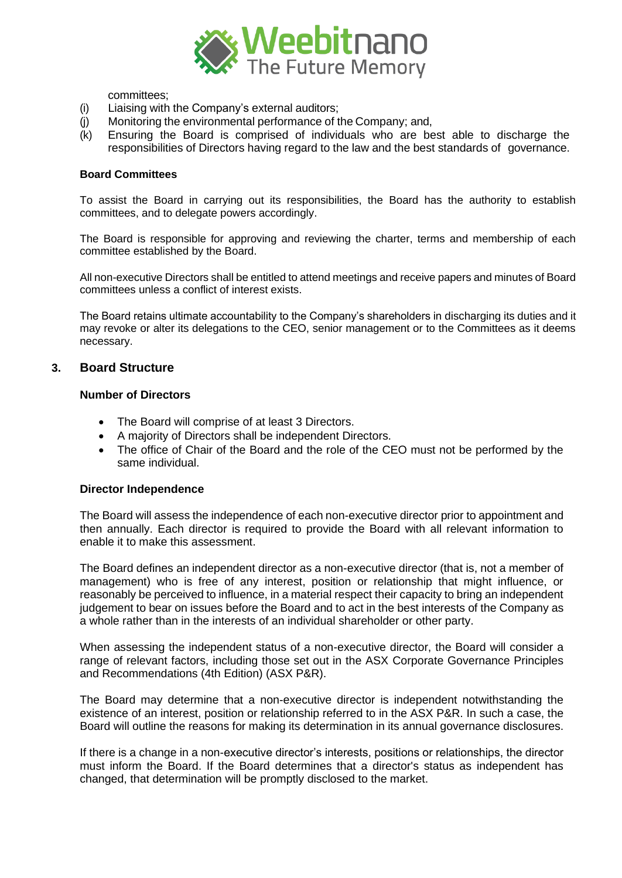

committees;

- (i) Liaising with the Company's external auditors;
- (j) Monitoring the environmental performance of the Company; and,
- (k) Ensuring the Board is comprised of individuals who are best able to discharge the responsibilities of Directors having regard to the law and the best standards of governance.

#### **Board Committees**

To assist the Board in carrying out its responsibilities, the Board has the authority to establish committees, and to delegate powers accordingly.

The Board is responsible for approving and reviewing the charter, terms and membership of each committee established by the Board.

All non-executive Directors shall be entitled to attend meetings and receive papers and minutes of Board committees unless a conflict of interest exists.

The Board retains ultimate accountability to the Company's shareholders in discharging its duties and it may revoke or alter its delegations to the CEO, senior management or to the Committees as it deems necessary.

#### **3. Board Structure**

#### **Number of Directors**

- The Board will comprise of at least 3 Directors.
- A majority of Directors shall be independent Directors.
- The office of Chair of the Board and the role of the CEO must not be performed by the same individual.

#### **Director Independence**

The Board will assess the independence of each non-executive director prior to appointment and then annually. Each director is required to provide the Board with all relevant information to enable it to make this assessment.

The Board defines an independent director as a non-executive director (that is, not a member of management) who is free of any interest, position or relationship that might influence, or reasonably be perceived to influence, in a material respect their capacity to bring an independent judgement to bear on issues before the Board and to act in the best interests of the Company as a whole rather than in the interests of an individual shareholder or other party.

When assessing the independent status of a non-executive director, the Board will consider a range of relevant factors, including those set out in the ASX Corporate Governance Principles and Recommendations (4th Edition) (ASX P&R).

The Board may determine that a non-executive director is independent notwithstanding the existence of an interest, position or relationship referred to in the ASX P&R. In such a case, the Board will outline the reasons for making its determination in its annual governance disclosures.

If there is a change in a non-executive director's interests, positions or relationships, the director must inform the Board. If the Board determines that a director's status as independent has changed, that determination will be promptly disclosed to the market.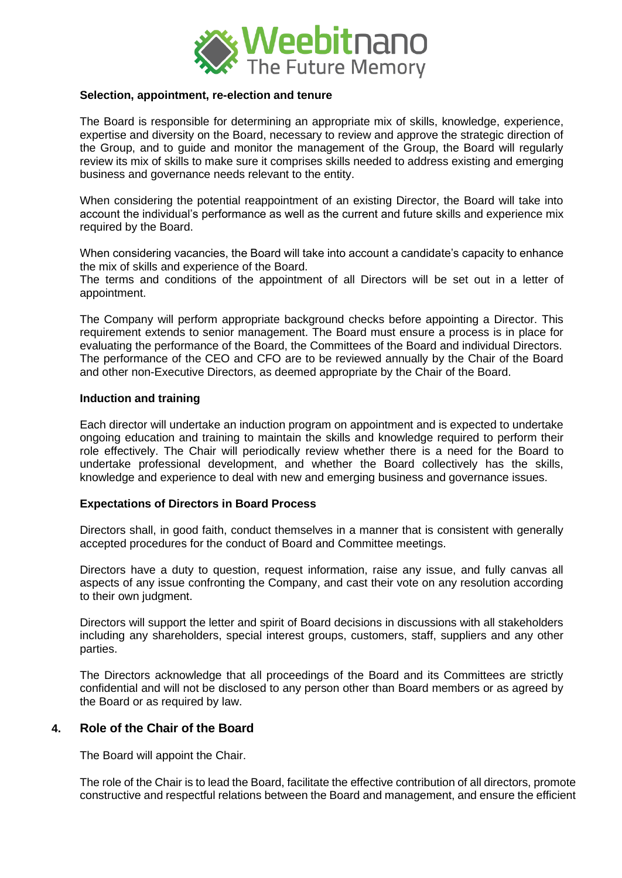

#### **Selection, appointment, re-election and tenure**

The Board is responsible for determining an appropriate mix of skills, knowledge, experience, expertise and diversity on the Board, necessary to review and approve the strategic direction of the Group, and to guide and monitor the management of the Group, the Board will regularly review its mix of skills to make sure it comprises skills needed to address existing and emerging business and governance needs relevant to the entity.

When considering the potential reappointment of an existing Director, the Board will take into account the individual's performance as well as the current and future skills and experience mix required by the Board.

When considering vacancies, the Board will take into account a candidate's capacity to enhance the mix of skills and experience of the Board.

The terms and conditions of the appointment of all Directors will be set out in a letter of appointment.

The Company will perform appropriate background checks before appointing a Director. This requirement extends to senior management. The Board must ensure a process is in place for evaluating the performance of the Board, the Committees of the Board and individual Directors. The performance of the CEO and CFO are to be reviewed annually by the Chair of the Board and other non-Executive Directors, as deemed appropriate by the Chair of the Board.

#### **Induction and training**

Each director will undertake an induction program on appointment and is expected to undertake ongoing education and training to maintain the skills and knowledge required to perform their role effectively. The Chair will periodically review whether there is a need for the Board to undertake professional development, and whether the Board collectively has the skills, knowledge and experience to deal with new and emerging business and governance issues.

### **Expectations of Directors in Board Process**

Directors shall, in good faith, conduct themselves in a manner that is consistent with generally accepted procedures for the conduct of Board and Committee meetings.

Directors have a duty to question, request information, raise any issue, and fully canvas all aspects of any issue confronting the Company, and cast their vote on any resolution according to their own judgment.

Directors will support the letter and spirit of Board decisions in discussions with all stakeholders including any shareholders, special interest groups, customers, staff, suppliers and any other parties.

The Directors acknowledge that all proceedings of the Board and its Committees are strictly confidential and will not be disclosed to any person other than Board members or as agreed by the Board or as required by law.

## **4. Role of the Chair of the Board**

The Board will appoint the Chair.

The role of the Chair is to lead the Board, facilitate the effective contribution of all directors, promote constructive and respectful relations between the Board and management, and ensure the efficient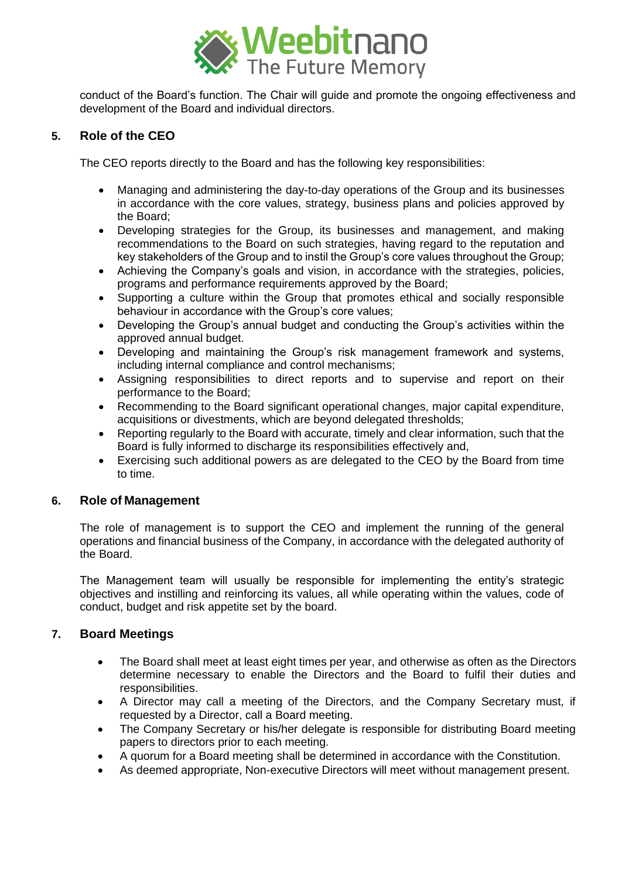

conduct of the Board's function. The Chair will guide and promote the ongoing effectiveness and development of the Board and individual directors.

# **5. Role of the CEO**

The CEO reports directly to the Board and has the following key responsibilities:

- Managing and administering the day-to-day operations of the Group and its businesses in accordance with the core values, strategy, business plans and policies approved by the Board;
- Developing strategies for the Group, its businesses and management, and making recommendations to the Board on such strategies, having regard to the reputation and key stakeholders of the Group and to instil the Group's core values throughout the Group;
- Achieving the Company's goals and vision, in accordance with the strategies, policies, programs and performance requirements approved by the Board;
- Supporting a culture within the Group that promotes ethical and socially responsible behaviour in accordance with the Group's core values;
- Developing the Group's annual budget and conducting the Group's activities within the approved annual budget.
- Developing and maintaining the Group's risk management framework and systems, including internal compliance and control mechanisms;
- Assigning responsibilities to direct reports and to supervise and report on their performance to the Board;
- Recommending to the Board significant operational changes, major capital expenditure, acquisitions or divestments, which are beyond delegated thresholds;
- Reporting regularly to the Board with accurate, timely and clear information, such that the Board is fully informed to discharge its responsibilities effectively and,
- Exercising such additional powers as are delegated to the CEO by the Board from time to time.

## **6. Role of Management**

The role of management is to support the CEO and implement the running of the general operations and financial business of the Company, in accordance with the delegated authority of the Board.

The Management team will usually be responsible for implementing the entity's strategic objectives and instilling and reinforcing its values, all while operating within the values, code of conduct, budget and risk appetite set by the board.

## **7. Board Meetings**

- The Board shall meet at least eight times per year, and otherwise as often as the Directors determine necessary to enable the Directors and the Board to fulfil their duties and responsibilities.
- A Director may call a meeting of the Directors, and the Company Secretary must, if requested by a Director, call a Board meeting.
- The Company Secretary or his/her delegate is responsible for distributing Board meeting papers to directors prior to each meeting.
- A quorum for a Board meeting shall be determined in accordance with the Constitution.
- As deemed appropriate, Non-executive Directors will meet without management present.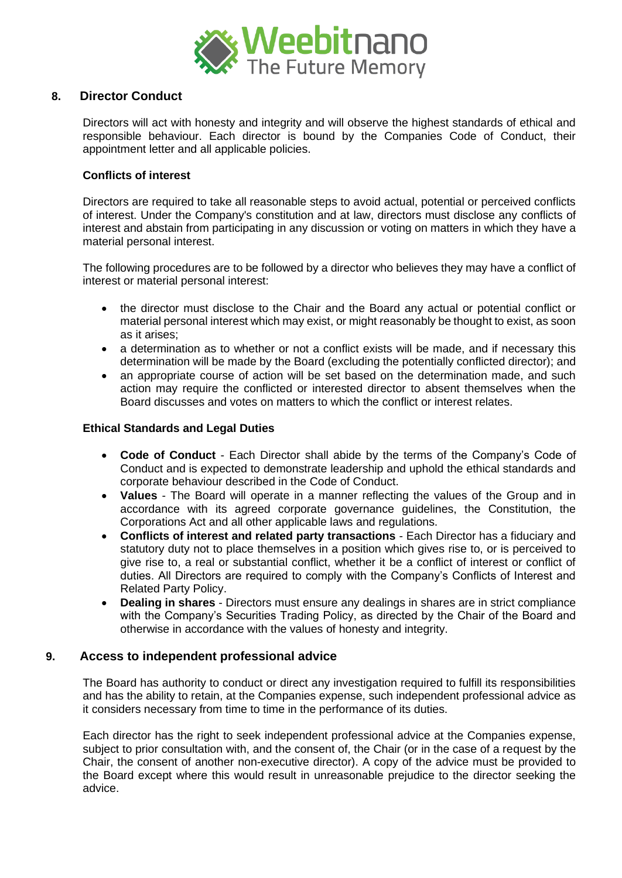

# **8. Director Conduct**

Directors will act with honesty and integrity and will observe the highest standards of ethical and responsible behaviour. Each director is bound by the Companies Code of Conduct, their appointment letter and all applicable policies.

### **Conflicts of interest**

Directors are required to take all reasonable steps to avoid actual, potential or perceived conflicts of interest. Under the Company's constitution and at law, directors must disclose any conflicts of interest and abstain from participating in any discussion or voting on matters in which they have a material personal interest.

The following procedures are to be followed by a director who believes they may have a conflict of interest or material personal interest:

- the director must disclose to the Chair and the Board any actual or potential conflict or material personal interest which may exist, or might reasonably be thought to exist, as soon as it arises;
- a determination as to whether or not a conflict exists will be made, and if necessary this determination will be made by the Board (excluding the potentially conflicted director); and
- an appropriate course of action will be set based on the determination made, and such action may require the conflicted or interested director to absent themselves when the Board discusses and votes on matters to which the conflict or interest relates.

### **Ethical Standards and Legal Duties**

- **Code of Conduct** Each Director shall abide by the terms of the Company's Code of Conduct and is expected to demonstrate leadership and uphold the ethical standards and corporate behaviour described in the Code of Conduct.
- **Values**  The Board will operate in a manner reflecting the values of the Group and in accordance with its agreed corporate governance guidelines, the Constitution, the Corporations Act and all other applicable laws and regulations.
- **Conflicts of interest and related party transactions** Each Director has a fiduciary and statutory duty not to place themselves in a position which gives rise to, or is perceived to give rise to, a real or substantial conflict, whether it be a conflict of interest or conflict of duties. All Directors are required to comply with the Company's Conflicts of Interest and Related Party Policy.
- **Dealing in shares** Directors must ensure any dealings in shares are in strict compliance with the Company's Securities Trading Policy, as directed by the Chair of the Board and otherwise in accordance with the values of honesty and integrity.

## **9. Access to independent professional advice**

The Board has authority to conduct or direct any investigation required to fulfill its responsibilities and has the ability to retain, at the Companies expense, such independent professional advice as it considers necessary from time to time in the performance of its duties.

Each director has the right to seek independent professional advice at the Companies expense, subject to prior consultation with, and the consent of, the Chair (or in the case of a request by the Chair, the consent of another non-executive director). A copy of the advice must be provided to the Board except where this would result in unreasonable prejudice to the director seeking the advice.